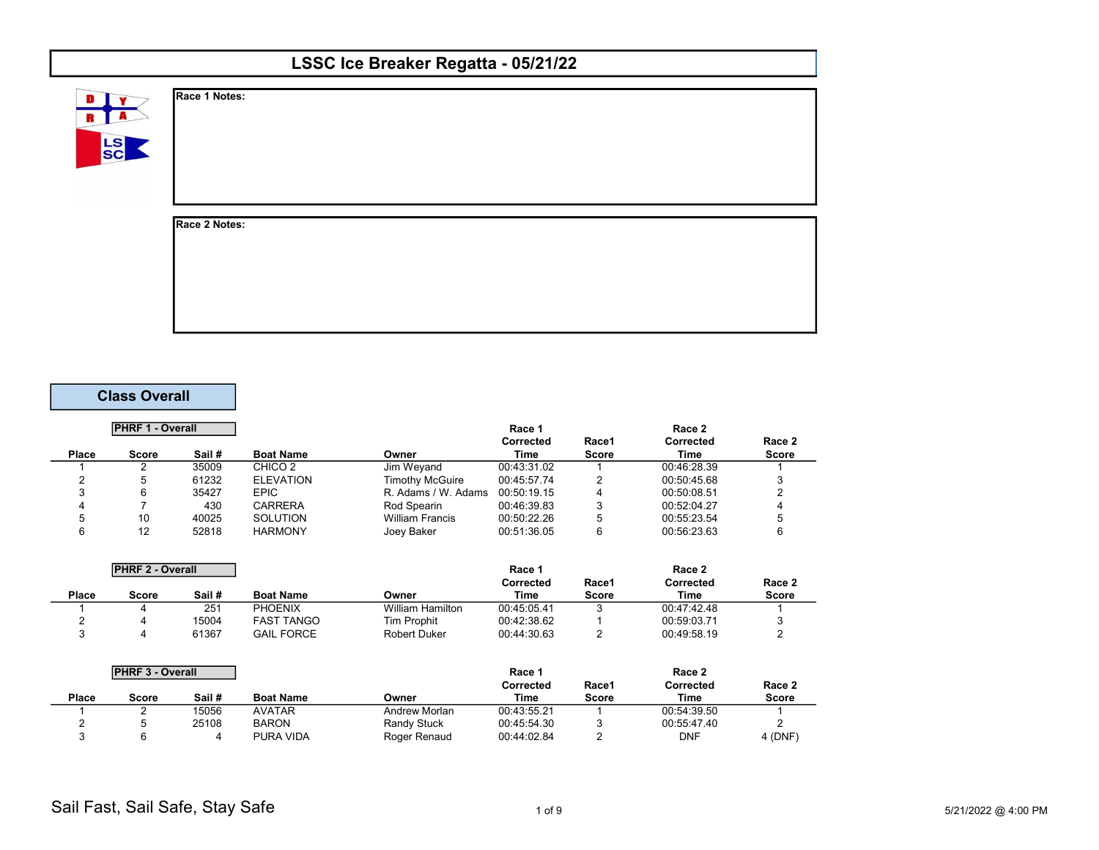| LSSC Ice Breaker Regatta - 05/21/22 |               |  |  |  |  |  |
|-------------------------------------|---------------|--|--|--|--|--|
| D<br>LS<br>SC                       | Race 1 Notes: |  |  |  |  |  |
|                                     | Race 2 Notes: |  |  |  |  |  |

## Class Overall

|       | <b>PHRF 1 - Overall</b> |        |                    |                        | Race 1           |       | Race 2      |              |
|-------|-------------------------|--------|--------------------|------------------------|------------------|-------|-------------|--------------|
|       |                         |        |                    |                        | <b>Corrected</b> | Race1 | Corrected   | Race 2       |
| Place | <b>Score</b>            | Sail # | <b>Boat Name</b>   | Owner                  | Time             | Score | Time        | <b>Score</b> |
|       |                         | 35009  | CHICO <sub>2</sub> | Jim Wevand             | 00:43:31.02      |       | 00:46:28.39 |              |
|       |                         | 61232  | <b>ELEVATION</b>   | <b>Timothy McGuire</b> | 00:45:57.74      |       | 00:50:45.68 |              |
| ີ     |                         | 35427  | <b>EPIC</b>        | R. Adams / W. Adams    | 00:50:19.15      | 4     | 00:50:08.51 |              |
|       |                         | 430    | CARRERA            | Rod Spearin            | 00:46:39.83      | 3     | 00:52:04.27 |              |
|       | 10                      | 40025  | <b>SOLUTION</b>    | <b>William Francis</b> | 00:50:22.26      | 5     | 00:55:23.54 |              |
|       | 12                      | 52818  | <b>HARMONY</b>     | Joey Baker             | 00:51:36.05      | 6     | 00:56:23.63 |              |

|       | <b>PHRF 2 - Overall</b> |        | Race 1            |                         |             |              | Race 2      |        |
|-------|-------------------------|--------|-------------------|-------------------------|-------------|--------------|-------------|--------|
|       |                         |        |                   |                         | Corrected   | Race1        | Corrected   | Race 2 |
| Place | Score                   | Sail # | <b>Boat Name</b>  | Owner                   | Time        | <b>Score</b> | Time        | Score  |
|       |                         | 251    | <b>PHOENIX</b>    | <b>William Hamilton</b> | 00:45:05.41 |              | 00:47:42.48 |        |
|       |                         | 15004  | <b>FAST TANGO</b> | Tim Prophit             | 00:42:38.62 |              | 00:59:03.71 |        |
|       |                         | 61367  | <b>GAIL FORCE</b> | <b>Robert Duker</b>     | 00:44:30.63 |              | 00:49:58.19 |        |

|       | <b>PHRF 3 - Overall</b> |        |                  |                    | <b>Race</b> 1 |       | Race 2      |              |
|-------|-------------------------|--------|------------------|--------------------|---------------|-------|-------------|--------------|
|       |                         |        |                  |                    | Corrected     | Race1 | Corrected   | Race 2       |
| Place | Score                   | Sail # | <b>Boat Name</b> | Owner              | Time          | Score | Time        | <b>Score</b> |
|       |                         | 15056  | <b>AVATAR</b>    | Andrew Morlan      | 00:43:55.21   |       | 00:54:39.50 |              |
|       |                         | 25108  | <b>BARON</b>     | <b>Randy Stuck</b> | 00:45:54.30   |       | 00:55:47.40 |              |
|       |                         |        | PURA VIDA        | Roger Renaud       | 00:44:02.84   |       | DNF         | $4$ (DNF)    |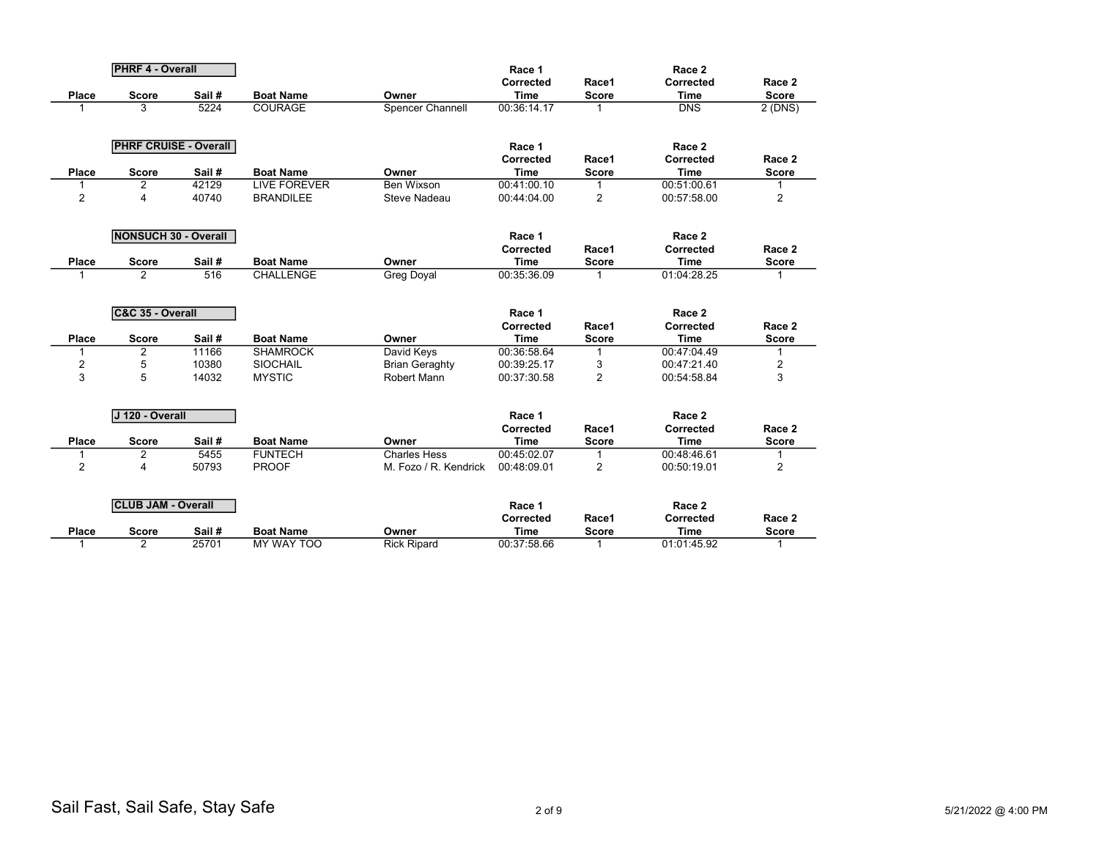|                | <b>PHRF 4 - Overall</b>        |        |                     |                       | Race 1                   |                       | Race 2                   |                        |
|----------------|--------------------------------|--------|---------------------|-----------------------|--------------------------|-----------------------|--------------------------|------------------------|
|                |                                |        |                     |                       | Corrected                | Race1                 | Corrected                | Race 2                 |
| <b>Place</b>   | <b>Score</b>                   | Sail#  | <b>Boat Name</b>    | Owner                 | <b>Time</b>              | <b>Score</b>          | <b>Time</b>              | <b>Score</b>           |
|                | 3                              | 5224   | <b>COURAGE</b>      | Spencer Channell      | 00:36:14.17              | 1                     | $\overline{DNS}$         | 2 (DNS)                |
|                |                                |        |                     |                       |                          |                       |                          |                        |
|                | <b>PHRF CRUISE - Overall</b>   |        |                     |                       | Race 1                   |                       | Race 2                   |                        |
|                |                                |        |                     |                       | Corrected                | Race1                 | Corrected                | Race 2                 |
| <b>Place</b>   | <b>Score</b>                   | Sail#  | <b>Boat Name</b>    | Owner                 | <b>Time</b>              | <b>Score</b>          | <b>Time</b>              | <b>Score</b>           |
|                | 2                              | 42129  | <b>LIVE FOREVER</b> | Ben Wixson            | 00:41:00.10              | 1                     | 00:51:00.61              |                        |
| $\overline{2}$ | 4                              | 40740  | <b>BRANDILEE</b>    | <b>Steve Nadeau</b>   | 00:44:04.00              | $\overline{2}$        | 00:57:58.00              | 2                      |
|                |                                |        |                     |                       |                          |                       |                          |                        |
|                | <b>NONSUCH 30 - Overall</b>    |        |                     |                       |                          |                       |                          |                        |
|                |                                |        |                     |                       | Race 1<br>Corrected      | Race1                 | Race 2<br>Corrected      | Race 2                 |
|                |                                | Sail # | <b>Boat Name</b>    | Owner                 | <b>Time</b>              |                       | <b>Time</b>              |                        |
| <b>Place</b>   | <b>Score</b><br>$\overline{2}$ | 516    | <b>CHALLENGE</b>    |                       | 00:35:36.09              | Score                 | 01:04:28.25              | <b>Score</b>           |
|                |                                |        |                     | <b>Greg Doyal</b>     |                          |                       |                          |                        |
|                |                                |        |                     |                       |                          |                       |                          |                        |
|                | C&C 35 - Overall               |        |                     |                       | Race 1                   |                       | Race 2                   |                        |
|                |                                |        |                     |                       | Corrected                | Race1                 | Corrected                | Race 2                 |
| <b>Place</b>   | <b>Score</b>                   | Sail#  | <b>Boat Name</b>    | Owner                 | <b>Time</b>              | <b>Score</b>          | <b>Time</b>              | <b>Score</b>           |
|                |                                |        |                     |                       |                          |                       |                          |                        |
| 1              | $\overline{2}$                 | 11166  | <b>SHAMROCK</b>     | David Keys            | 00:36:58.64              | 1                     | 00:47:04.49              |                        |
| $\overline{c}$ | 5                              | 10380  | <b>SIOCHAIL</b>     | <b>Brian Geraghty</b> | 00:39:25.17              | 3                     | 00:47:21.40              | 2                      |
| 3              | 5                              | 14032  | <b>MYSTIC</b>       | <b>Robert Mann</b>    | 00:37:30.58              | $\overline{2}$        | 00:54:58.84              | 3                      |
|                |                                |        |                     |                       |                          |                       |                          |                        |
|                | J 120 - Overall                |        |                     |                       | Race 1                   |                       | Race 2                   |                        |
|                |                                |        |                     |                       | Corrected                | Race1                 | Corrected                | Race 2                 |
| <b>Place</b>   | <b>Score</b>                   | Sail # | <b>Boat Name</b>    | Owner                 | Time                     | <b>Score</b>          | <b>Time</b>              | <b>Score</b>           |
| 1              | 2                              | 5455   | <b>FUNTECH</b>      | <b>Charles Hess</b>   | 00:45:02.07              | 1                     | 00:48:46.61              |                        |
| $\overline{2}$ | 4                              | 50793  | <b>PROOF</b>        | M. Fozo / R. Kendrick | 00:48:09.01              | $\overline{2}$        | 00:50:19.01              | $\overline{2}$         |
|                |                                |        |                     |                       |                          |                       |                          |                        |
|                |                                |        |                     |                       |                          |                       |                          |                        |
|                | <b>CLUB JAM - Overall</b>      |        |                     |                       | Race 1                   |                       | Race 2                   |                        |
| <b>Place</b>   | <b>Score</b>                   | Sail # | <b>Boat Name</b>    | Owner                 | Corrected<br><b>Time</b> | Race1<br><b>Score</b> | Corrected<br><b>Time</b> | Race 2<br><b>Score</b> |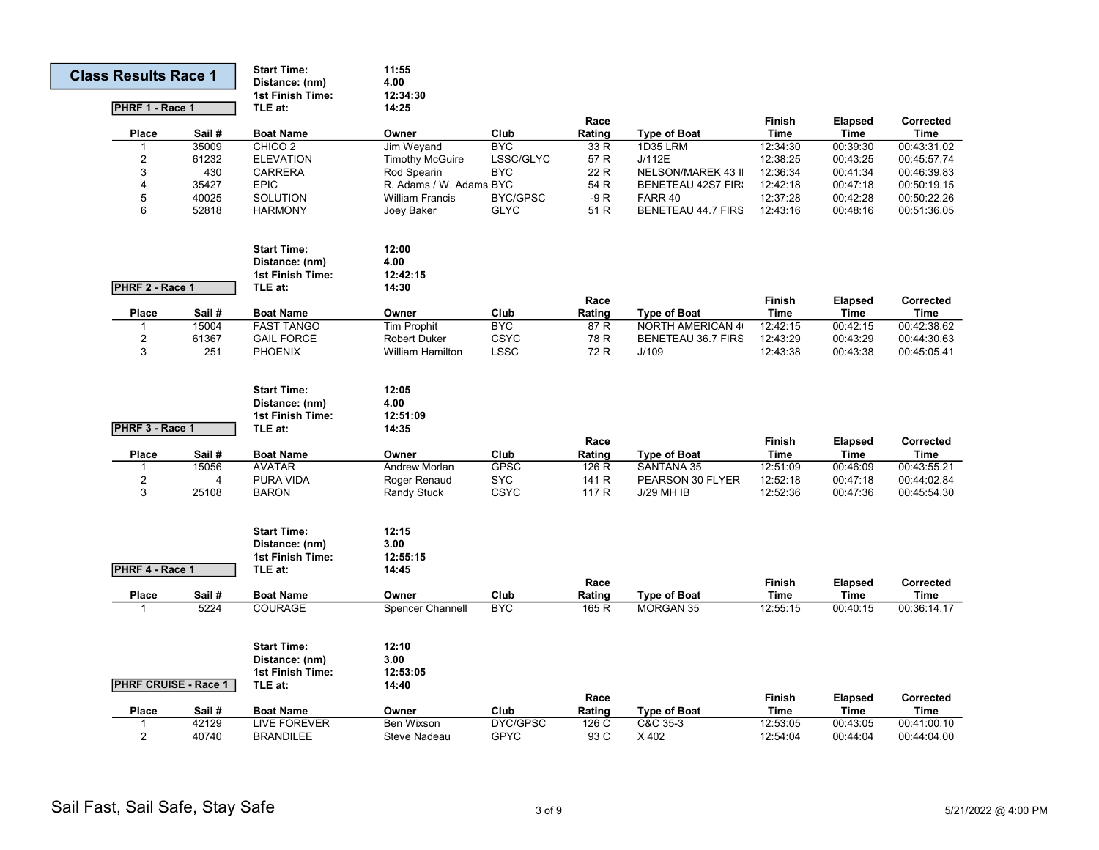| <b>Class Results Race 1</b> |                             | <b>Start Time:</b><br>Distance: (nm)<br>1st Finish Time: | 11:55<br>4.00<br>12:34:30 |                 |        |                           |               |                |             |
|-----------------------------|-----------------------------|----------------------------------------------------------|---------------------------|-----------------|--------|---------------------------|---------------|----------------|-------------|
| PHRF 1 - Race 1             |                             | TLE at:                                                  | 14:25                     |                 |        |                           |               |                |             |
|                             |                             |                                                          |                           |                 | Race   |                           | <b>Finish</b> | <b>Elapsed</b> | Corrected   |
| Place                       | Sail#                       | <b>Boat Name</b>                                         | Owner                     | Club            | Rating | <b>Type of Boat</b>       | Time          | Time           | <b>Time</b> |
| 1                           | 35009                       | CHICO <sub>2</sub>                                       | Jim Weyand                | <b>BYC</b>      | 33 R   | <b>1D35 LRM</b>           | 12:34:30      | 00:39:30       | 00:43:31.02 |
| $\overline{2}$              | 61232                       | <b>ELEVATION</b>                                         | <b>Timothy McGuire</b>    | LSSC/GLYC       | 57 R   | J/112E                    | 12:38:25      | 00:43:25       | 00:45:57.74 |
| 3                           | 430                         | <b>CARRERA</b>                                           | Rod Spearin               | <b>BYC</b>      | 22 R   | <b>NELSON/MAREK 43 II</b> | 12:36:34      | 00:41:34       | 00:46:39.83 |
| 4                           | 35427                       | <b>EPIC</b>                                              | R. Adams / W. Adams BYC   |                 | 54 R   | <b>BENETEAU 42S7 FIR:</b> | 12:42:18      | 00:47:18       | 00:50:19.15 |
| 5                           | 40025                       | SOLUTION                                                 | <b>William Francis</b>    | <b>BYC/GPSC</b> | $-9R$  | FARR 40                   | 12:37:28      | 00:42:28       | 00:50:22.26 |
| 6                           | 52818                       | <b>HARMONY</b>                                           | Joey Baker                | <b>GLYC</b>     | 51 R   | BENETEAU 44.7 FIRS        | 12:43:16      | 00:48:16       | 00:51:36.05 |
|                             |                             | <b>Start Time:</b>                                       | 12:00                     |                 |        |                           |               |                |             |
|                             |                             | Distance: (nm)                                           | 4.00                      |                 |        |                           |               |                |             |
|                             |                             | 1st Finish Time:                                         | 12:42:15                  |                 |        |                           |               |                |             |
| PHRF 2 - Race 1             |                             | TLE at:                                                  | 14:30                     |                 |        |                           |               |                |             |
|                             |                             |                                                          |                           |                 | Race   |                           | <b>Finish</b> | <b>Elapsed</b> | Corrected   |
| Place                       | Sail#                       | <b>Boat Name</b>                                         | Owner                     | Club            | Rating | <b>Type of Boat</b>       | <b>Time</b>   | Time           | <b>Time</b> |
| 1                           | 15004                       | <b>FAST TANGO</b>                                        | <b>Tim Prophit</b>        | <b>BYC</b>      | 87 R   | <b>NORTH AMERICAN 4</b>   | 12:42:15      | 00:42:15       | 00:42:38.62 |
| $\overline{2}$              | 61367                       | <b>GAIL FORCE</b>                                        | <b>Robert Duker</b>       | <b>CSYC</b>     | 78 R   | BENETEAU 36.7 FIRS        | 12:43:29      | 00:43:29       | 00:44:30.63 |
| 3                           | 251                         | <b>PHOENIX</b>                                           | <b>William Hamilton</b>   | <b>LSSC</b>     | 72 R   | J/109                     | 12:43:38      | 00:43:38       | 00:45:05.41 |
|                             |                             | <b>Start Time:</b>                                       | 12:05                     |                 |        |                           |               |                |             |
|                             |                             | Distance: (nm)                                           | 4.00                      |                 |        |                           |               |                |             |
|                             |                             | 1st Finish Time:                                         | 12:51:09                  |                 |        |                           |               |                |             |
| PHRF 3 - Race 1             |                             | TLE at:                                                  | 14:35                     |                 |        |                           |               |                |             |
|                             |                             |                                                          |                           |                 | Race   |                           | <b>Finish</b> | <b>Elapsed</b> | Corrected   |
| Place                       | Sail#                       | <b>Boat Name</b>                                         | Owner                     | Club            | Rating | <b>Type of Boat</b>       | <b>Time</b>   | Time           | <b>Time</b> |
| 1                           | 15056                       | <b>AVATAR</b>                                            | <b>Andrew Morlan</b>      | <b>GPSC</b>     | 126 R  | <b>SANTANA 35</b>         | 12:51:09      | 00:46:09       | 00:43:55.21 |
| 2                           | $\overline{4}$              | PURA VIDA                                                | Roger Renaud              | <b>SYC</b>      | 141 R  | PEARSON 30 FLYER          | 12:52:18      | 00:47:18       | 00:44:02.84 |
| 3                           | 25108                       | <b>BARON</b>                                             | Randy Stuck               | <b>CSYC</b>     | 117 R  | <b>J/29 MH IB</b>         | 12:52:36      | 00:47:36       | 00:45:54.30 |
|                             |                             | <b>Start Time:</b>                                       | 12:15                     |                 |        |                           |               |                |             |
|                             |                             | Distance: (nm)                                           | 3.00                      |                 |        |                           |               |                |             |
|                             |                             | 1st Finish Time:                                         | 12:55:15                  |                 |        |                           |               |                |             |
| PHRF 4 - Race 1             |                             | TLE at:                                                  | 14:45                     |                 |        |                           |               |                |             |
|                             |                             |                                                          |                           |                 | Race   |                           | <b>Finish</b> | <b>Elapsed</b> | Corrected   |
| Place                       | Sail#                       | <b>Boat Name</b>                                         | Owner                     | Club            | Rating | <b>Type of Boat</b>       | <b>Time</b>   | Time           | <b>Time</b> |
| 1                           | 5224                        | <b>COURAGE</b>                                           | <b>Spencer Channell</b>   | <b>BYC</b>      | 165 R  | <b>MORGAN 35</b>          | 12:55:15      | 00:40:15       | 00:36:14.17 |
|                             |                             |                                                          |                           |                 |        |                           |               |                |             |
|                             |                             | <b>Start Time:</b>                                       | 12:10                     |                 |        |                           |               |                |             |
|                             |                             | Distance: (nm)                                           | 3.00                      |                 |        |                           |               |                |             |
|                             |                             | 1st Finish Time:                                         | 12:53:05                  |                 |        |                           |               |                |             |
|                             | <b>PHRF CRUISE - Race 1</b> | TLE at:                                                  | 14:40                     |                 |        |                           |               |                |             |
|                             |                             |                                                          |                           |                 | Race   |                           | Finish        | <b>Elapsed</b> | Corrected   |
| Place                       | Sail #                      | <b>Boat Name</b>                                         | Owner                     | Club            | Rating | <b>Type of Boat</b>       | <b>Time</b>   | <b>Time</b>    | Time        |
| $\mathbf{1}$                | 42129                       | <b>LIVE FOREVER</b>                                      | <b>Ben Wixson</b>         | <b>DYC/GPSC</b> | 126 C  | C&C 35-3                  | 12:53:05      | 00:43:05       | 00:41:00.10 |
| $\overline{2}$              | 40740                       | <b>BRANDILEE</b>                                         | Steve Nadeau              | <b>GPYC</b>     | 93 C   | X402                      | 12:54:04      | 00:44:04       | 00:44:04.00 |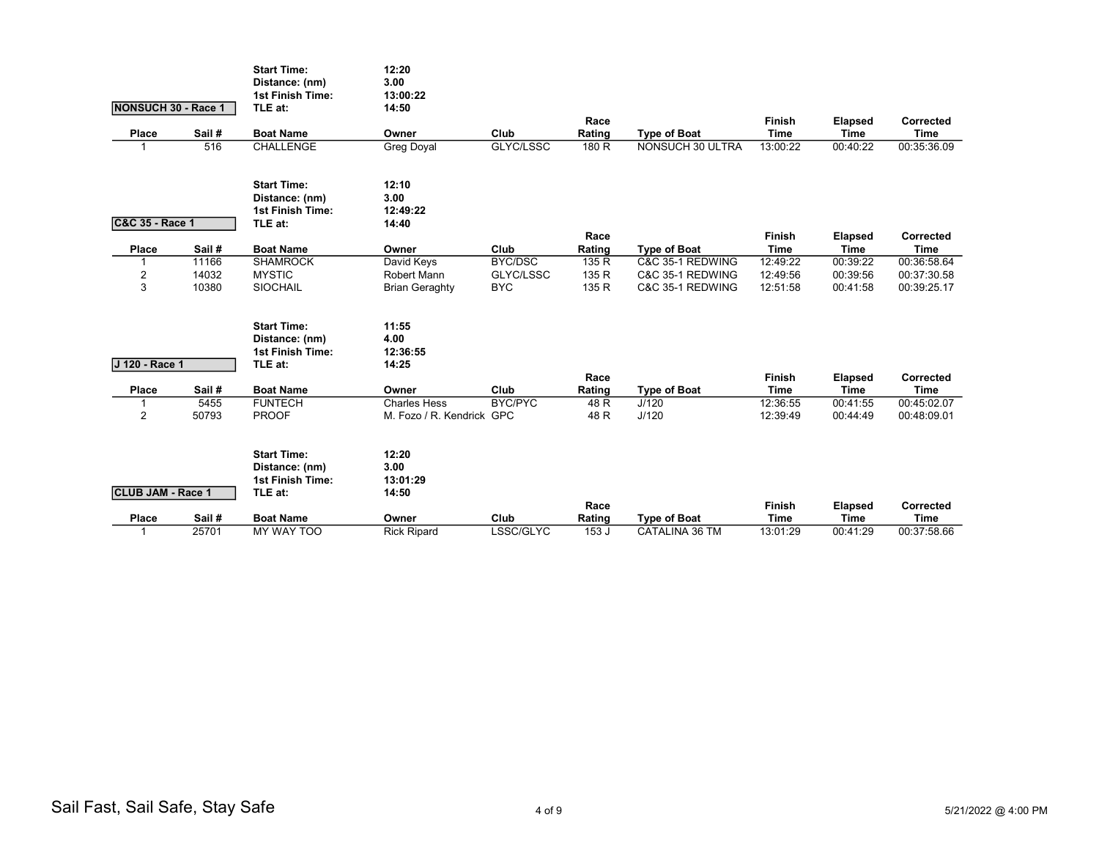|                            |                | <b>Start Time:</b><br>Distance: (nm) | 12:20<br>3.00                        |                         |                |                                      |                       |                               |                            |
|----------------------------|----------------|--------------------------------------|--------------------------------------|-------------------------|----------------|--------------------------------------|-----------------------|-------------------------------|----------------------------|
|                            |                | 1st Finish Time:                     | 13:00:22                             |                         |                |                                      |                       |                               |                            |
| <b>NONSUCH 30 - Race 1</b> |                | TLE at:                              | 14:50                                |                         |                |                                      |                       |                               |                            |
| Place                      | Sail #         | <b>Boat Name</b>                     | Owner                                | Club                    | Race<br>Rating | <b>Type of Boat</b>                  | Finish<br><b>Time</b> | <b>Elapsed</b><br><b>Time</b> | Corrected<br><b>Time</b>   |
| 1                          | 516            | CHALLENGE                            | <b>Greg Doyal</b>                    | GLYC/LSSC               | 180 R          | <b>NONSUCH 30 ULTRA</b>              | 13:00:22              | 00:40:22                      | 00:35:36.09                |
|                            |                |                                      |                                      |                         |                |                                      |                       |                               |                            |
|                            |                | <b>Start Time:</b>                   | 12:10                                |                         |                |                                      |                       |                               |                            |
|                            |                | Distance: (nm)                       | 3.00                                 |                         |                |                                      |                       |                               |                            |
|                            |                | <b>1st Finish Time:</b>              | 12:49:22                             |                         |                |                                      |                       |                               |                            |
| C&C 35 - Race 1            |                | TLE at:                              | 14:40                                |                         |                |                                      |                       |                               |                            |
|                            |                |                                      |                                      |                         | Race           |                                      | Finish                | <b>Elapsed</b>                | Corrected                  |
| Place                      | Sail#          | <b>Boat Name</b>                     | Owner                                | Club                    | Rating         | <b>Type of Boat</b>                  | <b>Time</b>           | <b>Time</b>                   | <b>Time</b>                |
| 1                          | 11166          | <b>SHAMROCK</b>                      | David Keys                           | BYC/DSC                 | 135 R          | C&C 35-1 REDWING                     | 12:49:22              | 00:39:22                      | 00:36:58.64                |
| $\overline{c}$<br>3        | 14032<br>10380 | <b>MYSTIC</b><br><b>SIOCHAIL</b>     | Robert Mann<br><b>Brian Geraghty</b> | GLYC/LSSC<br><b>BYC</b> | 135 R<br>135 R | C&C 35-1 REDWING<br>C&C 35-1 REDWING | 12:49:56<br>12:51:58  | 00:39:56<br>00:41:58          | 00:37:30.58<br>00:39:25.17 |
|                            |                |                                      |                                      |                         |                |                                      |                       |                               |                            |
|                            |                | <b>Start Time:</b>                   | 11:55                                |                         |                |                                      |                       |                               |                            |
|                            |                | Distance: (nm)                       | 4.00                                 |                         |                |                                      |                       |                               |                            |
|                            |                | <b>1st Finish Time:</b>              | 12:36:55                             |                         |                |                                      |                       |                               |                            |
| J 120 - Race 1             |                | TLE at:                              | 14:25                                |                         |                |                                      |                       |                               |                            |
|                            |                |                                      |                                      |                         | Race           |                                      | Finish                | Elapsed                       | Corrected                  |
| Place                      | Sail#          | <b>Boat Name</b>                     | Owner                                | Club                    | Rating         | <b>Type of Boat</b>                  | <b>Time</b>           | <b>Time</b>                   | <b>Time</b>                |
| 1                          | 5455           | <b>FUNTECH</b>                       | <b>Charles Hess</b>                  | BYC/PYC                 | 48 R           | J/120                                | 12:36:55              | 00:41:55                      | 00:45:02.07                |
| $\overline{2}$             | 50793          | <b>PROOF</b>                         | M. Fozo / R. Kendrick GPC            |                         | 48 R           | J/120                                | 12:39:49              | 00:44:49                      | 00:48:09.01                |
|                            |                | <b>Start Time:</b>                   | 12:20                                |                         |                |                                      |                       |                               |                            |
|                            |                | Distance: (nm)                       | 3.00                                 |                         |                |                                      |                       |                               |                            |
|                            |                | <b>1st Finish Time:</b>              | 13:01:29                             |                         |                |                                      |                       |                               |                            |
| <b>CLUB JAM - Race 1</b>   |                | TLE at:                              | 14:50                                |                         |                |                                      |                       |                               |                            |
|                            |                |                                      |                                      |                         | Race           |                                      | Finish                | Elapsed                       | Corrected                  |
| Place                      | Sail#          | <b>Boat Name</b>                     | Owner                                | Club                    | Rating         | <b>Type of Boat</b>                  | <b>Time</b>           | <b>Time</b>                   | <b>Time</b>                |
| 1                          | 25701          | MY WAY TOO                           | <b>Rick Ripard</b>                   | LSSC/GLYC               | 153 J          | CATALINA 36 TM                       | 13:01:29              | 00:41:29                      | 00:37:58.66                |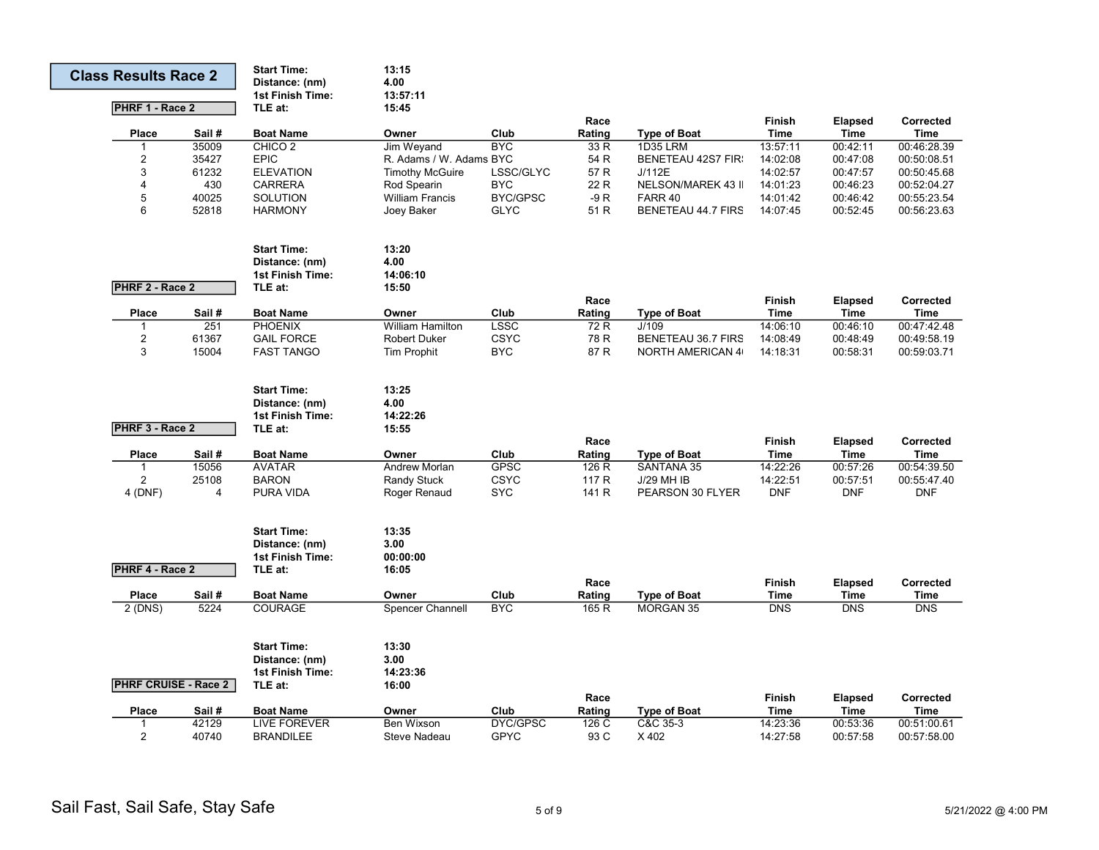| <b>Class Results Race 2</b> |                | <b>Start Time:</b><br>Distance: (nm)<br><b>1st Finish Time:</b> | 13:15<br>4.00<br>13:57:11 |                 |        |                           |                  |                  |             |
|-----------------------------|----------------|-----------------------------------------------------------------|---------------------------|-----------------|--------|---------------------------|------------------|------------------|-------------|
| PHRF 1 - Race 2             |                | TLE at:                                                         | 15:45                     |                 |        |                           |                  |                  |             |
|                             |                |                                                                 |                           |                 | Race   |                           | <b>Finish</b>    | <b>Elapsed</b>   | Corrected   |
| <b>Place</b>                | Sail #         | <b>Boat Name</b>                                                | Owner                     | Club            | Rating | <b>Type of Boat</b>       | <b>Time</b>      | Time             | <b>Time</b> |
|                             | 35009          | CHICO <sub>2</sub>                                              | Jim Weyand                | <b>BYC</b>      | 33 R   | <b>1D35 LRM</b>           | 13:57:11         | 00:42:11         | 00:46:28.39 |
| $\overline{c}$              | 35427          | <b>EPIC</b>                                                     | R. Adams / W. Adams BYC   |                 | 54 R   | <b>BENETEAU 42S7 FIR:</b> | 14:02:08         | 00:47:08         | 00:50:08.51 |
| 3                           | 61232          | <b>ELEVATION</b>                                                | <b>Timothy McGuire</b>    | LSSC/GLYC       | 57 R   | J/112E                    | 14:02:57         | 00:47:57         | 00:50:45.68 |
| 4                           | 430            | <b>CARRERA</b>                                                  | Rod Spearin               | <b>BYC</b>      | 22 R   | NELSON/MAREK 43 II        | 14:01:23         | 00:46:23         | 00:52:04.27 |
| 5                           | 40025          | SOLUTION                                                        | <b>William Francis</b>    | <b>BYC/GPSC</b> | $-9R$  | FARR 40                   | 14:01:42         | 00:46:42         | 00:55:23.54 |
| 6                           | 52818          | <b>HARMONY</b>                                                  | Joey Baker                | <b>GLYC</b>     | 51 R   | <b>BENETEAU 44.7 FIRS</b> | 14:07:45         | 00:52:45         | 00:56:23.63 |
|                             |                | <b>Start Time:</b>                                              | 13:20                     |                 |        |                           |                  |                  |             |
|                             |                | Distance: (nm)                                                  | 4.00                      |                 |        |                           |                  |                  |             |
|                             |                | 1st Finish Time:                                                | 14:06:10                  |                 |        |                           |                  |                  |             |
| PHRF 2 - Race 2             |                | TLE at:                                                         | 15:50                     |                 |        |                           |                  |                  |             |
|                             |                |                                                                 |                           |                 | Race   |                           | Finish           | <b>Elapsed</b>   | Corrected   |
| Place                       | Sail#          | <b>Boat Name</b>                                                | Owner                     | Club            | Rating | <b>Type of Boat</b>       | <b>Time</b>      | Time             | Time        |
| $\mathbf{1}$                | 251            | PHOENIX                                                         | <b>William Hamilton</b>   | <b>LSSC</b>     | 72 R   | J/109                     | 14:06:10         | 00:46:10         | 00:47:42.48 |
| $\sqrt{2}$                  | 61367          | <b>GAIL FORCE</b>                                               | <b>Robert Duker</b>       | <b>CSYC</b>     | 78 R   | BENETEAU 36.7 FIRS        | 14:08:49         | 00:48:49         | 00:49:58.19 |
| 3                           | 15004          | <b>FAST TANGO</b>                                               | Tim Prophit               | <b>BYC</b>      | 87 R   | <b>NORTH AMERICAN 4</b>   | 14:18:31         | 00:58:31         | 00:59:03.71 |
|                             |                |                                                                 |                           |                 |        |                           |                  |                  |             |
|                             |                | <b>Start Time:</b>                                              | 13:25                     |                 |        |                           |                  |                  |             |
|                             |                | Distance: (nm)                                                  | 4.00                      |                 |        |                           |                  |                  |             |
|                             |                | 1st Finish Time:                                                | 14:22:26                  |                 |        |                           |                  |                  |             |
| PHRF 3 - Race 2             |                | TLE at:                                                         | 15:55                     |                 |        |                           |                  |                  |             |
|                             |                |                                                                 |                           |                 | Race   |                           | <b>Finish</b>    | <b>Elapsed</b>   | Corrected   |
| Place                       | Sail#          | <b>Boat Name</b>                                                | Owner                     | Club            | Rating | <b>Type of Boat</b>       | <b>Time</b>      | Time             | <b>Time</b> |
|                             | 15056          | <b>AVATAR</b>                                                   | Andrew Morlan             | <b>GPSC</b>     | 126 R  | SANTANA 35                | 14:22:26         | 00:57:26         | 00:54:39.50 |
| 2                           | 25108          | <b>BARON</b>                                                    | Randy Stuck               | <b>CSYC</b>     | 117 R  | <b>J/29 MH IB</b>         | 14:22:51         | 00:57:51         | 00:55:47.40 |
| 4 (DNF)                     | $\overline{4}$ | PURA VIDA                                                       | Roger Renaud              | <b>SYC</b>      | 141 R  | PEARSON 30 FLYER          | <b>DNF</b>       | <b>DNF</b>       | <b>DNF</b>  |
|                             |                | <b>Start Time:</b>                                              | 13:35                     |                 |        |                           |                  |                  |             |
|                             |                | Distance: (nm)                                                  | 3.00                      |                 |        |                           |                  |                  |             |
|                             |                | <b>1st Finish Time:</b>                                         | 00:00:00                  |                 |        |                           |                  |                  |             |
| PHRF 4 - Race 2             |                | TLE at:                                                         | 16:05                     |                 |        |                           |                  |                  |             |
|                             |                |                                                                 |                           |                 | Race   |                           | <b>Finish</b>    | <b>Elapsed</b>   | Corrected   |
| Place                       | Sail#          | <b>Boat Name</b>                                                | Owner                     | Club            | Rating | <b>Type of Boat</b>       | <b>Time</b>      | Time             | <b>Time</b> |
| 2(DNS)                      | 5224           | <b>COURAGE</b>                                                  | Spencer Channell          | <b>BYC</b>      | 165 R  | <b>MORGAN 35</b>          | $\overline{DNS}$ | $\overline{DNS}$ | <b>DNS</b>  |
|                             |                | <b>Start Time:</b>                                              | 13:30                     |                 |        |                           |                  |                  |             |
|                             |                | Distance: (nm)                                                  | 3.00                      |                 |        |                           |                  |                  |             |
|                             |                | 1st Finish Time:                                                | 14:23:36                  |                 |        |                           |                  |                  |             |
| <b>PHRF CRUISE - Race 2</b> |                | TLE at:                                                         | 16:00                     |                 |        |                           |                  |                  |             |
|                             |                |                                                                 |                           |                 | Race   |                           | Finish           | <b>Elapsed</b>   | Corrected   |
| Place                       | Sail #         | <b>Boat Name</b>                                                | Owner                     | Club            | Rating | <b>Type of Boat</b>       | <b>Time</b>      | Time             | <b>Time</b> |
| -1                          | 42129          | <b>LIVE FOREVER</b>                                             | Ben Wixson                | DYC/GPSC        | 126 C  | C&C 35-3                  | 14:23:36         | 00:53:36         | 00:51:00.61 |
| 2                           | 40740          | <b>BRANDILEE</b>                                                | Steve Nadeau              | <b>GPYC</b>     | 93 C   | X 402                     | 14:27:58         | 00:57:58         | 00:57:58.00 |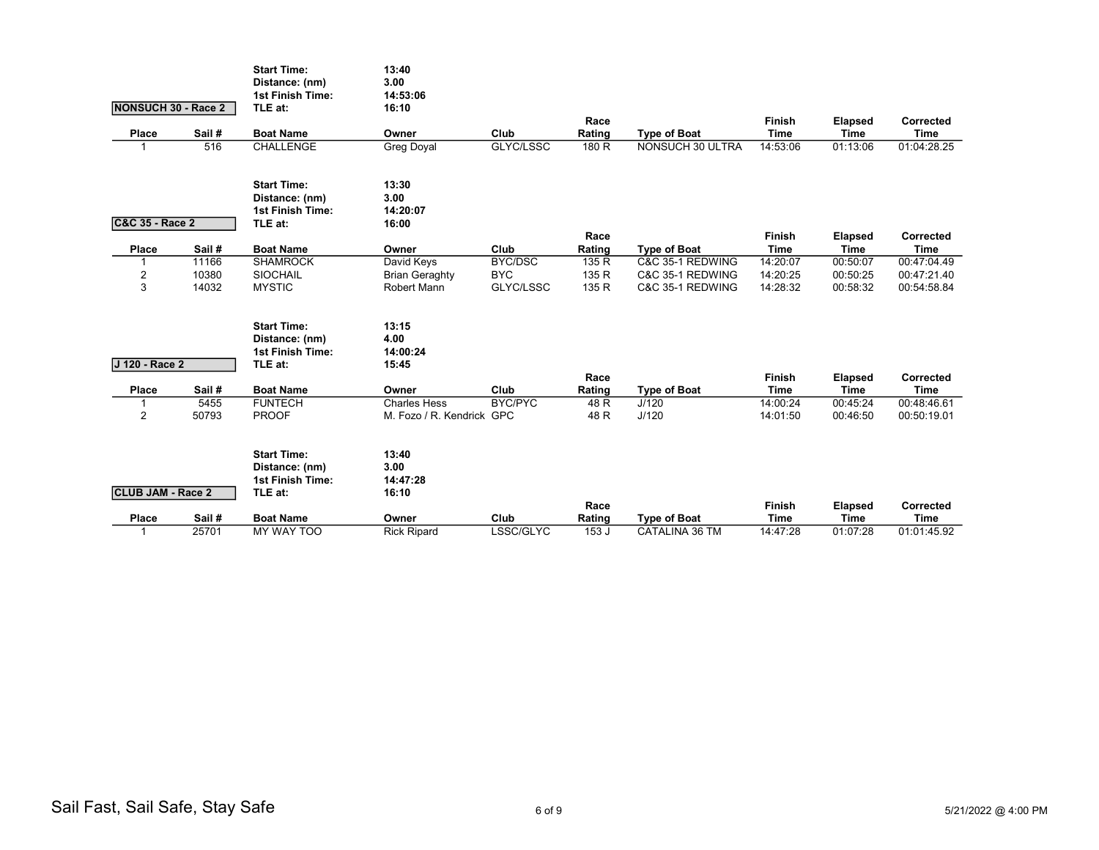|                            |        | <b>Start Time:</b><br>Distance: (nm) | 13:40<br>3.00                        |                |                |                     |                       |                               |                          |
|----------------------------|--------|--------------------------------------|--------------------------------------|----------------|----------------|---------------------|-----------------------|-------------------------------|--------------------------|
|                            |        | 1st Finish Time:                     | 14:53:06                             |                |                |                     |                       |                               |                          |
| NONSUCH 30 - Race 2        |        | TLE at:                              | 16:10                                |                |                |                     |                       |                               |                          |
| Place                      | Sail # | <b>Boat Name</b>                     | Owner                                | Club           | Race<br>Rating | <b>Type of Boat</b> | Finish<br><b>Time</b> | <b>Elapsed</b><br><b>Time</b> | Corrected<br><b>Time</b> |
| 1                          | 516    | <b>CHALLENGE</b>                     | <b>Greg Doyal</b>                    | GLYC/LSSC      | 180 R          | NONSUCH 30 ULTRA    | 14:53:06              | 01:13:06                      | 01:04:28.25              |
|                            |        |                                      |                                      |                |                |                     |                       |                               |                          |
|                            |        | <b>Start Time:</b>                   | 13:30                                |                |                |                     |                       |                               |                          |
|                            |        | Distance: (nm)                       | 3.00                                 |                |                |                     |                       |                               |                          |
|                            |        | <b>1st Finish Time:</b>              | 14:20:07                             |                |                |                     |                       |                               |                          |
| <b>C&amp;C 35 - Race 2</b> |        | TLE at:                              | 16:00                                |                |                |                     |                       |                               |                          |
|                            |        |                                      |                                      |                | Race           |                     | Finish                | <b>Elapsed</b>                | Corrected                |
| Place                      | Sail#  | <b>Boat Name</b>                     | Owner                                | Club           | Rating         | <b>Type of Boat</b> | <b>Time</b>           | <b>Time</b>                   | <b>Time</b>              |
| 1                          | 11166  | <b>SHAMROCK</b>                      | David Keys                           | BYC/DSC        | 135 R          | C&C 35-1 REDWING    | 14:20:07              | 00:50:07                      | 00:47:04.49              |
| $\overline{c}$<br>3        | 10380  | <b>SIOCHAIL</b>                      | <b>Brian Geraghty</b><br>Robert Mann | <b>BYC</b>     | 135 R          | C&C 35-1 REDWING    | 14:20:25              | 00:50:25                      | 00:47:21.40              |
|                            | 14032  | <b>MYSTIC</b>                        |                                      | GLYC/LSSC      | 135 R          | C&C 35-1 REDWING    | 14:28:32              | 00:58:32                      | 00:54:58.84              |
|                            |        | <b>Start Time:</b>                   | 13:15                                |                |                |                     |                       |                               |                          |
|                            |        | Distance: (nm)                       | 4.00                                 |                |                |                     |                       |                               |                          |
|                            |        | <b>1st Finish Time:</b>              | 14:00:24                             |                |                |                     |                       |                               |                          |
| J 120 - Race 2             |        | TLE at:                              | 15:45                                |                |                |                     |                       |                               |                          |
|                            |        |                                      |                                      |                | Race           |                     | Finish                | <b>Elapsed</b>                | Corrected                |
| Place                      | Sail#  | <b>Boat Name</b>                     | Owner                                | Club           | Rating         | <b>Type of Boat</b> | <b>Time</b>           | <b>Time</b>                   | <b>Time</b>              |
| 1                          | 5455   | <b>FUNTECH</b>                       | <b>Charles Hess</b>                  | <b>BYC/PYC</b> | 48 R           | J/120               | 14:00:24              | 00:45:24                      | 00:48:46.61              |
| $\overline{2}$             | 50793  | <b>PROOF</b>                         | M. Fozo / R. Kendrick GPC            |                | 48 R           | J/120               | 14:01:50              | 00:46:50                      | 00:50:19.01              |
|                            |        | <b>Start Time:</b>                   | 13:40                                |                |                |                     |                       |                               |                          |
|                            |        | Distance: (nm)                       | 3.00                                 |                |                |                     |                       |                               |                          |
|                            |        | <b>1st Finish Time:</b>              | 14:47:28                             |                |                |                     |                       |                               |                          |
| <b>CLUB JAM - Race 2</b>   |        | TLE at:                              | 16:10                                |                |                |                     |                       |                               |                          |
|                            |        |                                      |                                      |                | Race           |                     | Finish                | Elapsed                       | Corrected                |
| Place                      | Sail#  | <b>Boat Name</b>                     | Owner                                | Club           | Rating         | <b>Type of Boat</b> | <b>Time</b>           | <b>Time</b>                   | <b>Time</b>              |
| 1                          | 25701  | MY WAY TOO                           | <b>Rick Ripard</b>                   | LSSC/GLYC      | 153 J          | CATALINA 36 TM      | 14:47:28              | 01:07:28                      | 01:01:45.92              |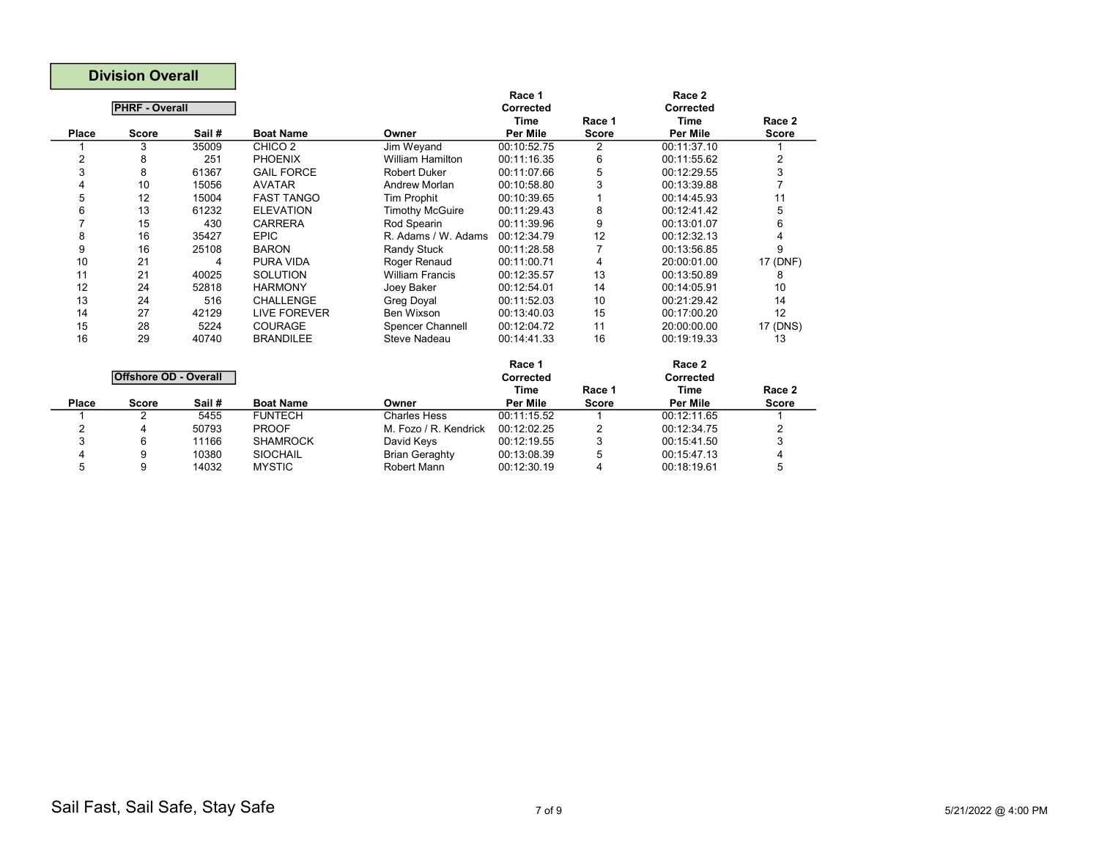|       | <b>Division Overall</b>      |        |                    |                         |                     |              |                     |              |
|-------|------------------------------|--------|--------------------|-------------------------|---------------------|--------------|---------------------|--------------|
|       | <b>PHRF - Overall</b>        |        |                    |                         | Race 1<br>Corrected |              | Race 2<br>Corrected |              |
|       |                              |        |                    |                         | <b>Time</b>         | Race 1       | <b>Time</b>         | Race 2       |
| Place | <b>Score</b>                 | Sail # | <b>Boat Name</b>   | Owner                   | <b>Per Mile</b>     | <b>Score</b> | <b>Per Mile</b>     | Score        |
|       | 3                            | 35009  | CHICO <sub>2</sub> | Jim Weyand              | 00:10:52.75         | 2            | 00:11:37.10         |              |
| 2     | 8                            | 251    | <b>PHOENIX</b>     | <b>William Hamilton</b> | 00:11:16.35         | 6            | 00:11:55.62         | 2            |
| 3     | 8                            | 61367  | <b>GAIL FORCE</b>  | <b>Robert Duker</b>     | 00:11:07.66         | 5            | 00:12:29.55         | 3            |
| 4     | 10                           | 15056  | <b>AVATAR</b>      | Andrew Morlan           | 00:10:58.80         | 3            | 00:13:39.88         |              |
| 5     | 12                           | 15004  | <b>FAST TANGO</b>  | <b>Tim Prophit</b>      | 00:10:39.65         |              | 00:14:45.93         | 11           |
| 6     | 13                           | 61232  | <b>ELEVATION</b>   | <b>Timothy McGuire</b>  | 00:11:29.43         | 8            | 00:12:41.42         | 5            |
| 7     | 15                           | 430    | <b>CARRERA</b>     | Rod Spearin             | 00:11:39.96         | 9            | 00:13:01.07         | 6            |
| 8     | 16                           | 35427  | <b>EPIC</b>        | R. Adams / W. Adams     | 00:12:34.79         | 12           | 00:12:32.13         | 4            |
| 9     | 16                           | 25108  | <b>BARON</b>       | Randy Stuck             | 00:11:28.58         | 7            | 00:13:56.85         | 9            |
| 10    | 21                           | 4      | <b>PURA VIDA</b>   | Roger Renaud            | 00:11:00.71         | 4            | 20:00:01.00         | 17 (DNF)     |
| 11    | 21                           | 40025  | <b>SOLUTION</b>    | <b>William Francis</b>  | 00:12:35.57         | 13           | 00:13:50.89         | 8            |
| 12    | 24                           | 52818  | <b>HARMONY</b>     | Joey Baker              | 00:12:54.01         | 14           | 00:14:05.91         | 10           |
| 13    | 24                           | 516    | <b>CHALLENGE</b>   | <b>Greg Doyal</b>       | 00:11:52.03         | 10           | 00:21:29.42         | 14           |
| 14    | 27                           | 42129  | LIVE FOREVER       | Ben Wixson              | 00:13:40.03         | 15           | 00:17:00.20         | 12           |
| 15    | 28                           | 5224   | <b>COURAGE</b>     | <b>Spencer Channell</b> | 00:12:04.72         | 11           | 20:00:00.00         | 17 (DNS)     |
| 16    | 29                           | 40740  | <b>BRANDILEE</b>   | Steve Nadeau            | 00:14:41.33         | 16           | 00:19:19.33         | 13           |
|       |                              |        |                    |                         | Race 1              |              | Race 2              |              |
|       | <b>Offshore OD - Overall</b> |        |                    |                         | Corrected           |              | Corrected           |              |
|       |                              |        |                    |                         | <b>Time</b>         | Race 1       | <b>Time</b>         | Race 2       |
| Place | <b>Score</b>                 | Sail # | <b>Boat Name</b>   | Owner                   | <b>Per Mile</b>     | <b>Score</b> | Per Mile            | <b>Score</b> |
|       | 2                            | 5455   | <b>FUNTECH</b>     | <b>Charles Hess</b>     | 00:11:15.52         | 1            | 00:12:11.65         |              |
| 2     | 4                            | 50793  | <b>PROOF</b>       | M. Fozo / R. Kendrick   | 00:12:02.25         | 2            | 00:12:34.75         | 2            |
| 3     | 6                            | 11166  | <b>SHAMROCK</b>    | David Keys              | 00:12:19.55         | 3            | 00:15:41.50         | 3            |
| 4     | 9                            | 10380  | <b>SIOCHAIL</b>    | <b>Brian Geraghty</b>   | 00:13:08.39         | 5            | 00:15:47.13         | 4            |
| 5     | 9                            | 14032  | <b>MYSTIC</b>      | <b>Robert Mann</b>      | 00:12:30.19         | 4            | 00:18:19.61         | 5            |

Г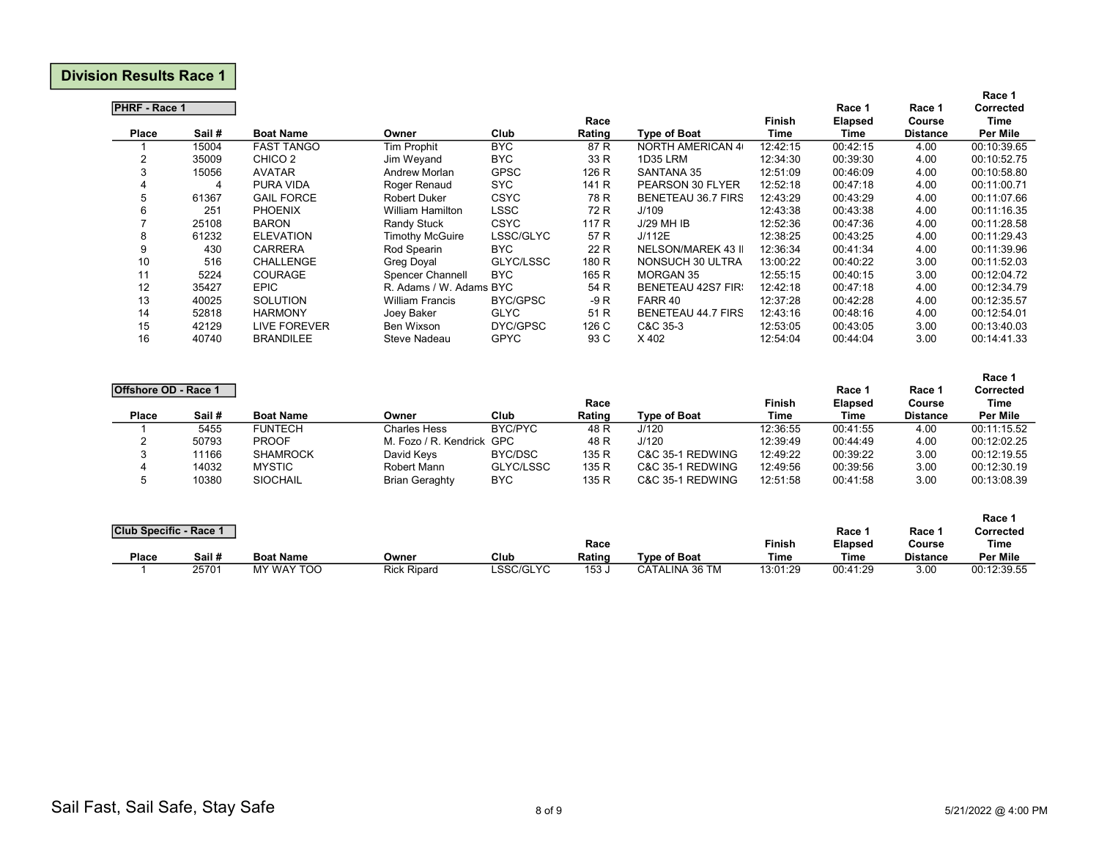## Division Results Race 1

|                      |        |                     |                         |             |        |                           |          |                |                 | Race 1      |
|----------------------|--------|---------------------|-------------------------|-------------|--------|---------------------------|----------|----------------|-----------------|-------------|
| <b>PHRF - Race 1</b> |        |                     |                         |             |        |                           |          | Race 1         | Race 1          | Corrected   |
|                      |        |                     |                         |             | Race   |                           | Finish   | <b>Elapsed</b> | Course          | Time        |
| Place                | Sail # | <b>Boat Name</b>    | Owner                   | Club        | Rating | <b>Type of Boat</b>       | Time     | Time           | <b>Distance</b> | Per Mile    |
|                      | 15004  | <b>FAST TANGO</b>   | <b>Tim Prophit</b>      | <b>BYC</b>  | 87 R   | <b>NORTH AMERICAN 4</b>   | 12:42:15 | 00:42:15       | 4.00            | 00:10:39.65 |
| 2                    | 35009  | CHICO <sub>2</sub>  | Jim Weyand              | <b>BYC</b>  | 33 R   | <b>1D35 LRM</b>           | 12:34:30 | 00:39:30       | 4.00            | 00:10:52.75 |
| 3                    | 15056  | <b>AVATAR</b>       | Andrew Morlan           | <b>GPSC</b> | 126 R  | SANTANA 35                | 12:51:09 | 00:46:09       | 4.00            | 00:10:58.80 |
| 4                    | 4      | PURA VIDA           | Roger Renaud            | <b>SYC</b>  | 141 R  | PEARSON 30 FLYER          | 12:52:18 | 00:47:18       | 4.00            | 00:11:00.71 |
| 5                    | 61367  | <b>GAIL FORCE</b>   | <b>Robert Duker</b>     | <b>CSYC</b> | 78 R   | <b>BENETEAU 36.7 FIRS</b> | 12:43:29 | 00:43:29       | 4.00            | 00:11:07.66 |
| 6                    | 251    | <b>PHOENIX</b>      | <b>William Hamilton</b> | <b>LSSC</b> | 72 R   | J/109                     | 12:43:38 | 00:43:38       | 4.00            | 00:11:16.35 |
|                      | 25108  | <b>BARON</b>        | Randy Stuck             | <b>CSYC</b> | 117 R  | J/29 MH IB                | 12:52:36 | 00:47:36       | 4.00            | 00:11:28.58 |
| 8                    | 61232  | <b>ELEVATION</b>    | <b>Timothy McGuire</b>  | LSSC/GLYC   | 57 R   | J/112E                    | 12:38:25 | 00:43:25       | 4.00            | 00:11:29.43 |
| 9                    | 430    | <b>CARRERA</b>      | Rod Spearin             | <b>BYC</b>  | 22 R   | NELSON/MAREK 43 II        | 12:36:34 | 00:41:34       | 4.00            | 00:11:39.96 |
| 10                   | 516    | <b>CHALLENGE</b>    | <b>Greg Doyal</b>       | GLYC/LSSC   | 180 R  | NONSUCH 30 ULTRA          | 13:00:22 | 00:40:22       | 3.00            | 00:11:52.03 |
| 11                   | 5224   | <b>COURAGE</b>      | Spencer Channell        | <b>BYC</b>  | 165 R  | <b>MORGAN 35</b>          | 12:55:15 | 00:40:15       | 3.00            | 00:12:04.72 |
| 12                   | 35427  | <b>EPIC</b>         | R. Adams / W. Adams BYC |             | 54 R   | <b>BENETEAU 42S7 FIR:</b> | 12:42:18 | 00:47:18       | 4.00            | 00:12:34.79 |
| 13                   | 40025  | <b>SOLUTION</b>     | <b>William Francis</b>  | BYC/GPSC    | $-9R$  | FARR 40                   | 12:37:28 | 00:42:28       | 4.00            | 00:12:35.57 |
| 14                   | 52818  | <b>HARMONY</b>      | Joey Baker              | <b>GLYC</b> | 51 R   | <b>BENETEAU 44.7 FIRS</b> | 12:43:16 | 00:48:16       | 4.00            | 00:12:54.01 |
| 15                   | 42129  | <b>LIVE FOREVER</b> | <b>Ben Wixson</b>       | DYC/GPSC    | 126 C  | C&C 35-3                  | 12:53:05 | 00:43:05       | 3.00            | 00:13:40.03 |
| 16                   | 40740  | <b>BRANDILEE</b>    | Steve Nadeau            | <b>GPYC</b> | 93 C   | X 402                     | 12:54:04 | 00:44:04       | 3.00            | 00:14:41.33 |

| Offshore OD - Race 1 |        |                  |                           |           | Race   |                     | <b>Finish</b> | Race 1<br><b>Elapsed</b> | Race 1<br>Course | Race 1<br><b>Corrected</b><br>Time |
|----------------------|--------|------------------|---------------------------|-----------|--------|---------------------|---------------|--------------------------|------------------|------------------------------------|
| <b>Place</b>         | Sail # | <b>Boat Name</b> | Owner                     | Club      | Rating | <b>Type of Boat</b> | Time          | Time                     | <b>Distance</b>  | Per Mile                           |
|                      | 5455   | <b>FUNTECH</b>   | <b>Charles Hess</b>       | BYC/PYC   | 48 R   | J/120               | 12:36:55      | 00:41:55                 | 4.00             | 00:11:15.52                        |
|                      | 50793  | <b>PROOF</b>     | M. Fozo / R. Kendrick GPC |           | 48 R   | J/120               | 12:39:49      | 00:44:49                 | 4.00             | 00:12:02.25                        |
| 3                    | 11166  | <b>SHAMROCK</b>  | David Keys                | BYC/DSC   | 135 R  | C&C 35-1 REDWING    | 12:49:22      | 00:39:22                 | 3.00             | 00:12:19.55                        |
| 4                    | 14032  | <b>MYSTIC</b>    | Robert Mann               | GLYC/LSSC | 135 R  | C&C 35-1 REDWING    | 12:49:56      | 00:39:56                 | 3.00             | 00:12:30.19                        |
| 5                    | 10380  | <b>SIOCHAIL</b>  | <b>Brian Geraghty</b>     | BYC.      | 135 R  | C&C 35-1 REDWING    | 12:51:58      | 00:41:58                 | 3.00             | 00:13:08.39                        |

|                               |        |                  |                    |           |                  |                |          |                |                 | <b>Race</b>     |
|-------------------------------|--------|------------------|--------------------|-----------|------------------|----------------|----------|----------------|-----------------|-----------------|
| <b>Club Specific - Race 1</b> |        |                  |                    |           |                  |                |          | Race '         | Race '          | Corrected       |
|                               |        |                  |                    |           | Race             |                | Finish   | <b>Elapsed</b> | Course          | Time            |
| <b>Place</b>                  | Sail # | <b>Boat Name</b> | Owner              | Club      | Rating           | Tvpe of Boat   | Time     | Time           | <b>Distance</b> | <b>Per Mile</b> |
|                               | 25701  | MY WAY TOO       | <b>Rick Ripard</b> | LSSC/GLYC | 153 <sub>o</sub> | CATALINA 36 TM | 13:01:29 | 00:41:29       | 3.00            | 00:12:39.55     |